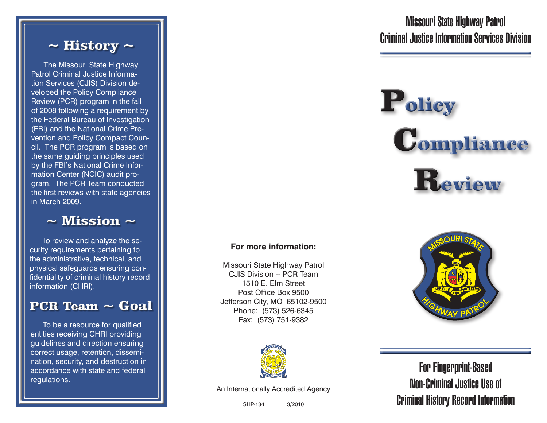#### $\sim$  History  $\sim$

The Missouri State Highway Patrol Criminal Justice Information Services (CJIS) Division developed the Policy Compliance Review (PCR) program in the fall of 2008 following a requirement by the Federal Bureau of Investigation (FBI) and the National Crime Prevention and Policy Compact Council. The PCR program is based on the same guiding principles used by the FBI's National Crime Information Center (NCIC) audit program. The PCR Team conducted the first reviews with state agencies in March 2009.

 $\sim$  Mission  $\sim$ 

To review and analyze the security requirements pertaining to the administrative, technical, and physical safeguards ensuring confidentiality of criminal history record information (CHRI).

#### PCR Team ~ Goal

To be a resource for qualified entities receiving CHRI providing guidelines and direction ensuring correct usage, retention, dissemination, security, and destruction in accordance with state and federal regulations.

Missouri State Highway Patrol Criminal Justice Information Services Division

# Policy ompliance Review

#### **For more information:**

Missouri State Highway Patrol CJIS Division -- PCR Team 1510 E. Elm Street Post Office Box 9500 Jefferson City, MO 65102-9500 Phone: (573) 526-6345 Fax: (573) 751-9382





An Internationally Accredited Agency

For Fingerprint-Based Non-Criminal Justice Use of Criminal History Record Information